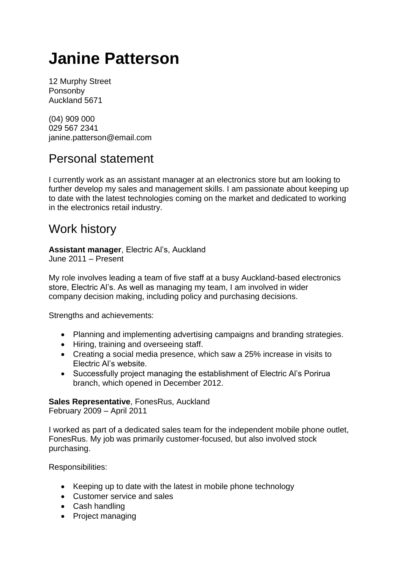# **Janine Patterson**

12 Murphy Street Ponsonby Auckland 5671

(04) 909 000 029 567 2341 janine.patterson@email.com

## Personal statement

I currently work as an assistant manager at an electronics store but am looking to further develop my sales and management skills. I am passionate about keeping up to date with the latest technologies coming on the market and dedicated to working in the electronics retail industry.

### Work history

**Assistant manager**, Electric Al's, Auckland June 2011 – Present

My role involves leading a team of five staff at a busy Auckland-based electronics store, Electric Al's. As well as managing my team, I am involved in wider company decision making, including policy and purchasing decisions.

Strengths and achievements:

- Planning and implementing advertising campaigns and branding strategies.
- Hiring, training and overseeing staff.
- Creating a social media presence, which saw a 25% increase in visits to Electric Al's website.
- Successfully project managing the establishment of Electric Al's Porirua branch, which opened in December 2012.

#### **Sales Representative**, FonesRus, Auckland

February 2009 – April 2011

I worked as part of a dedicated sales team for the independent mobile phone outlet, FonesRus. My job was primarily customer-focused, but also involved stock purchasing.

Responsibilities:

- Keeping up to date with the latest in mobile phone technology
- Customer service and sales
- Cash handling
- Project managing